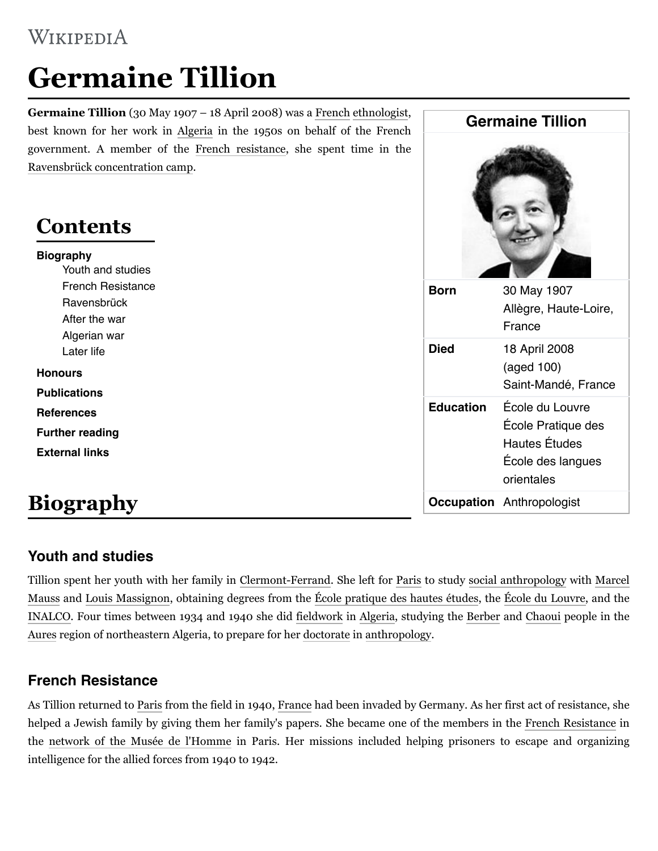# WIKIPEDIA

# **Germaine Tillion**

**Germaine Tillion** (30 May 1907 – 18 April 2008) was a [French](https://en.wikipedia.org/wiki/France) [ethnologist,](https://en.wikipedia.org/wiki/Ethnology) best known for her work in [Algeria](https://en.wikipedia.org/wiki/Algeria) in the 1950s on behalf of the French government. A member of the [French resistance,](https://en.wikipedia.org/wiki/French_resistance) she spent time in the [Ravensbrück concentration camp.](https://en.wikipedia.org/wiki/Ravensbr%C3%BCck_concentration_camp)

# **Contents**

#### **[Biography](#page-0-0)**

[Youth and studies](#page-0-1) [French Resistance](#page-0-2) **[Ravensbrück](https://en.wikipedia.org/wiki/Germaine_Tillion#Ravensbr%C3%BCck)** [After the war](#page-1-0) [Algerian war](#page-1-1) [Later life](#page-2-0) **[Honours](#page-2-1)**

**[Publications](#page-2-2) [References](#page-3-0)**

**[Further reading](#page-3-1)**

**[External links](#page-3-2)**

# <span id="page-0-0"></span>**Biography**

#### <span id="page-0-1"></span>**Youth and studies**

[Tillion spent her youth with her family in](https://en.wikipedia.org/wiki/Marcel_Mauss) [Clermont-Ferrand](https://en.wikipedia.org/wiki/Clermont-Ferrand)[. She left for P](https://en.wikipedia.org/wiki/Marcel_Mauss)[ari](https://en.wikipedia.org/wiki/Paris)[s to study](https://en.wikipedia.org/wiki/Marcel_Mauss) [social anthropolog](https://en.wikipedia.org/wiki/Social_anthropology)[y with Marcel](https://en.wikipedia.org/wiki/Marcel_Mauss) Mauss and [Louis Massignon](https://en.wikipedia.org/wiki/Louis_Massignon), obtaining degrees from the [École pratique des hautes études](https://en.wikipedia.org/wiki/%C3%89cole_pratique_des_hautes_%C3%A9tudes), the [École du Louvre,](https://en.wikipedia.org/wiki/%C3%89cole_du_Louvre) and the [INALCO.](https://en.wikipedia.org/wiki/INALCO) Four times between 1934 and 1940 she did [fieldwork](https://en.wikipedia.org/wiki/Fieldwork) in [Algeria,](https://en.wikipedia.org/wiki/Algeria) studying the [Berber](https://en.wikipedia.org/wiki/Berber_people) and [Chaoui](https://en.wikipedia.org/wiki/Chaoui) people in the [Aures](https://en.wikipedia.org/wiki/Aures,_Algeria) region of northeastern Algeria, to prepare for her [doctorate](https://en.wikipedia.org/wiki/Doctorate) in [anthropology.](https://en.wikipedia.org/wiki/Anthropology)

#### <span id="page-0-2"></span>**French Resistance**

As Tillion returned to [Paris](https://en.wikipedia.org/wiki/Paris) from the field in 1940, [France](https://en.wikipedia.org/wiki/France) had been invaded by Germany. As her first act of resistance, she helped a Jewish family by giving them her family's papers. She became one of the members in the [French Resistance](https://en.wikipedia.org/wiki/French_Resistance) in the [network of the Musée de l'Homme](https://en.wikipedia.org/wiki/Groupe_du_mus%C3%A9e_de_l%27Homme) in Paris. Her missions included helping prisoners to escape and organizing intelligence for the allied forces from 1940 to 1942.

| <b>Germaine Tillion</b> |                                                                                           |
|-------------------------|-------------------------------------------------------------------------------------------|
|                         |                                                                                           |
| <b>Died</b>             | 18 April 2008<br>(aged 100)<br>Saint-Mandé, France                                        |
| <b>Education</b>        | École du Louvre<br>École Pratique des<br>Hautes Études<br>École des langues<br>orientales |
|                         | <b>Occupation</b> Anthropologist                                                          |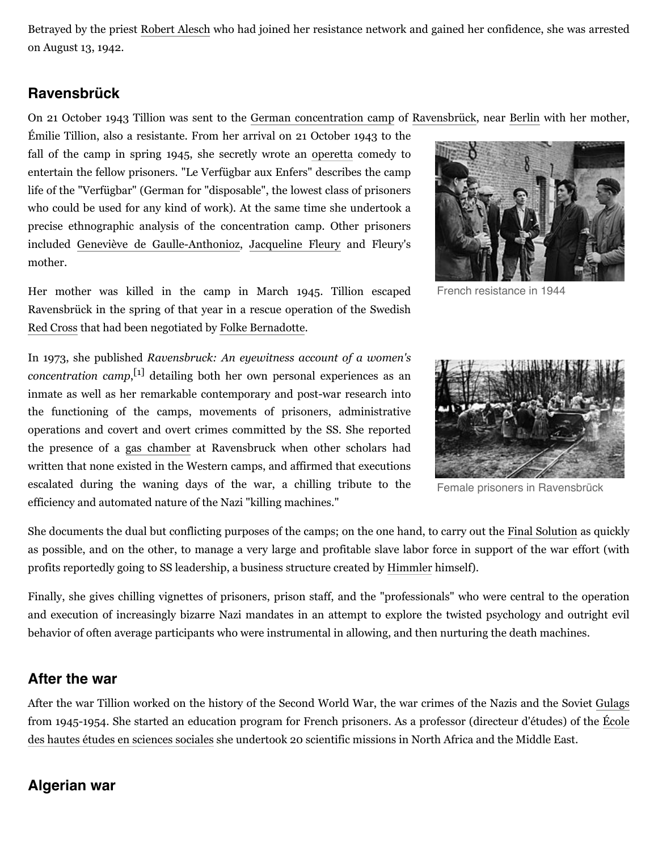Betrayed by the priest [Robert Alesch](https://en.wikipedia.org/wiki/Robert_Alesch) who had joined her resistance network and gained her confidence, she was arrested on August 13, 1942.

#### **Ravensbrück**

On 21 October 1943 Tillion was sent to the [German concentration camp](https://en.wikipedia.org/wiki/Nazi_concentration_camps) of [Ravensbrück](https://en.wikipedia.org/wiki/Ravensbr%C3%BCck_concentration_camp), near [Berlin](https://en.wikipedia.org/wiki/Berlin) with her mother,

Émilie Tillion, also a resistante. From her arrival on 21 October 1943 to the fall of the camp in spring 1945, she secretly wrote an [operetta](https://en.wikipedia.org/wiki/Operetta) comedy to entertain the fellow prisoners. "Le Verfügbar aux Enfers" describes the camp life of the "Verfügbar" (German for "disposable", the lowest class of prisoners who could be used for any kind of work). At the same time she undertook a precise ethnographic analysis of the concentration camp. Other prisoners included [Geneviève de Gaulle-Anthonioz](https://en.wikipedia.org/wiki/Genevi%C3%A8ve_de_Gaulle-Anthonioz), [Jacqueline Fleury](https://en.wikipedia.org/wiki/Jacqueline_Fleury) and Fleury's mother.



In 1973, she published *Ravensbruck: An eyewitness account of a women's concentration camp*, [\[1\]](#page-3-3) detailing both her own personal experiences as an inmate as well as her remarkable contemporary and post-war research into the functioning of the camps, movements of prisoners, administrative operations and covert and overt crimes committed by the SS. She reported the presence of a [gas chamber](https://en.wikipedia.org/wiki/Gas_chamber) at Ravensbruck when other scholars had written that none existed in the Western camps, and affirmed that executions escalated during the waning days of the war, a chilling tribute to the efficiency and automated nature of the Nazi "killing machines."



[French resistance](https://en.wikipedia.org/wiki/French_resistance) in 1944



Female prisoners in [Ravensbrück](https://en.wikipedia.org/wiki/Ravensbr%C3%BCck)

She documents the dual but conflicting purposes of the camps; on the one hand, to carry out the [Final Solution](https://en.wikipedia.org/wiki/Final_Solution) as quickly as possible, and on the other, to manage a very large and profitable slave labor force in support of the war effort (with profits reportedly going to SS leadership, a business structure created by [Himmler](https://en.wikipedia.org/wiki/Himmler) himself).

Finally, she gives chilling vignettes of prisoners, prison staff, and the "professionals" who were central to the operation and execution of increasingly bizarre Nazi mandates in an attempt to explore the twisted psychology and outright evil behavior of often average participants who were instrumental in allowing, and then nurturing the death machines.

#### <span id="page-1-0"></span>**After the war**

After the war Tillion worked on the history of the Second World War, the war crimes of the Nazis and the Soviet [Gulags](https://en.wikipedia.org/wiki/Gulag) [from 1945-1954. She started an education program for French prisoners. As a professor \(directeur d'études\) of the École](https://en.wikipedia.org/wiki/%C3%89cole_des_hautes_%C3%A9tudes_en_sciences_sociales) des hautes études en sciences sociales she undertook 20 scientific missions in North Africa and the Middle East.

#### <span id="page-1-1"></span>**Algerian war**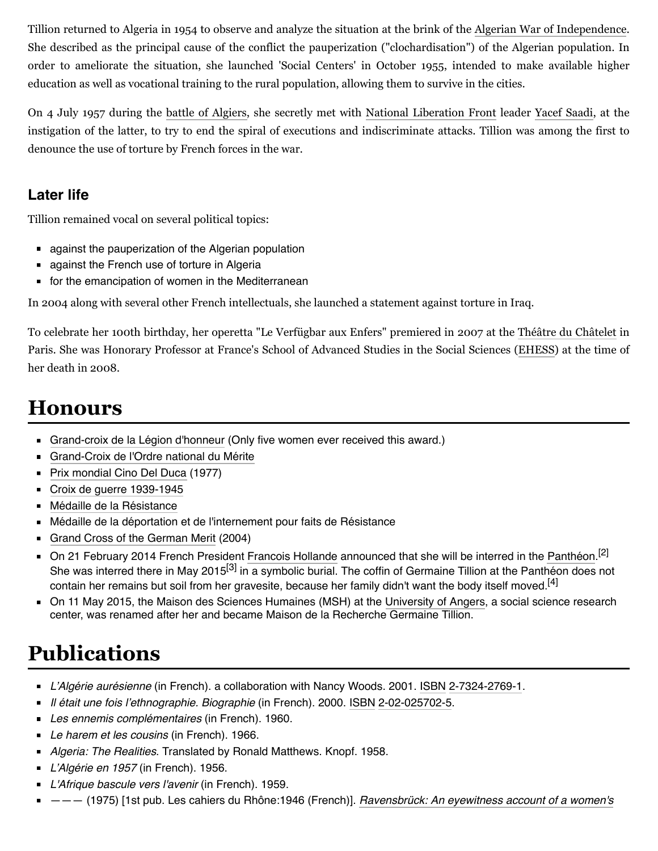Tillion returned to Algeria in 1954 to observe and analyze the situation at the brink of the [Algerian War of Independence](https://en.wikipedia.org/wiki/Algerian_War_of_Independence). She described as the principal cause of the conflict the pauperization ("clochardisation") of the Algerian population. In order to ameliorate the situation, she launched 'Social Centers' in October 1955, intended to make available higher education as well as vocational training to the rural population, allowing them to survive in the cities.

On 4 July 1957 during the [battle of Algiers,](https://en.wikipedia.org/wiki/Battle_of_Algiers_(1957)) she secretly met with [National Liberation Front](https://en.wikipedia.org/wiki/National_Liberation_Front_(Algeria)) leader [Yacef Saadi](https://en.wikipedia.org/wiki/Yacef_Saadi), at the instigation of the latter, to try to end the spiral of executions and indiscriminate attacks. Tillion was among the first to denounce the use of torture by French forces in the war.

#### <span id="page-2-0"></span>**Later life**

Tillion remained vocal on several political topics:

- against the pauperization of the Algerian population
- **against the French use of torture in Algeria**
- **for the emancipation of women in the Mediterranean**

In 2004 along with several other French intellectuals, she launched a statement against torture in Iraq.

To celebrate her 100th birthday, her operetta "Le Verfügbar aux Enfers" premiered in 2007 at the [Théâtre du Châtelet](https://en.wikipedia.org/wiki/Th%C3%A9%C3%A2tre_du_Ch%C3%A2telet) in Paris. She was Honorary Professor at France's School of Advanced Studies in the Social Sciences [\(EHESS](https://en.wikipedia.org/wiki/EHESS)) at the time of her death in 2008.

# <span id="page-2-1"></span>**Honours**

- [Grand-croix de la Légion d'honneur](https://en.wikipedia.org/wiki/L%C3%A9gion_d%27honneur) (Only five women ever received this award.)
- [Grand-Croix de l'Ordre national du Mérite](https://en.wikipedia.org/wiki/Ordre_national_du_M%C3%A9rite)
- **[Prix mondial Cino Del Duca](https://en.wikipedia.org/wiki/Prix_mondial_Cino_Del_Duca) (1977)**
- [Croix de guerre 1939-1945](https://en.wikipedia.org/wiki/Croix_de_guerre)
- [Médaille de la Résistance](https://en.wikipedia.org/wiki/M%C3%A9daille_de_la_R%C3%A9sistance)
- Médaille de la déportation et de l'internement pour faits de Résistance
- [Grand Cross of the German Merit](https://en.wikipedia.org/wiki/Bundesverdienstkreuz) (2004)
- On 21 February 2014 French President [Francois Hollande](https://en.wikipedia.org/wiki/Francois_Hollande) announced that she will be interred in the [Panthéon](https://en.wikipedia.org/wiki/Panth%C3%A9on).<sup>[\[2\]](#page-3-4)</sup> She was interred there in May 2015<sup>[\[3\]](#page-3-5)</sup> in a symbolic burial. The coffin of Germaine Tillion at the Panthéon does not contain her remains but soil from her gravesite, because her family didn't want the body itself moved.<sup>[\[4\]](#page-3-6)</sup>
- On 11 May 2015, the Maison des Sciences Humaines (MSH) at the [University of Angers](https://en.wikipedia.org/wiki/University_of_Angers), a social science research center, was renamed after her and became Maison de la Recherche Germaine Tillion.

# <span id="page-2-2"></span>**Publications**

- *L'Algérie aurésienne* (in French). a collaboration with Nancy Woods. 2001. [ISBN](https://en.wikipedia.org/wiki/International_Standard_Book_Number) [2-7324-2769-1](https://en.wikipedia.org/wiki/Special:BookSources/2-7324-2769-1).
- *Il était une fois l'ethnographie. Biographie* (in French). 2000. [ISBN](https://en.wikipedia.org/wiki/International_Standard_Book_Number) [2-02-025702-5.](https://en.wikipedia.org/wiki/Special:BookSources/2-02-025702-5)
- *Les ennemis complémentaires* (in French). 1960.
- *Le harem et les cousins* (in French). 1966.
- *Algeria: The Realities*. Translated by Ronald Matthews. Knopf. 1958.
- *L'Algérie en 1957* (in French). 1956.
- *L'Afrique bascule vers l'avenir* (in French). 1959.
- [——— \(1975\) \[1st pub. Les cahiers du Rhône:1946 \(French\)\].](https://books.google.com/books?id=LbHwlwEACAAJ) *Ravensbrück: An eyewitness account of a women's*